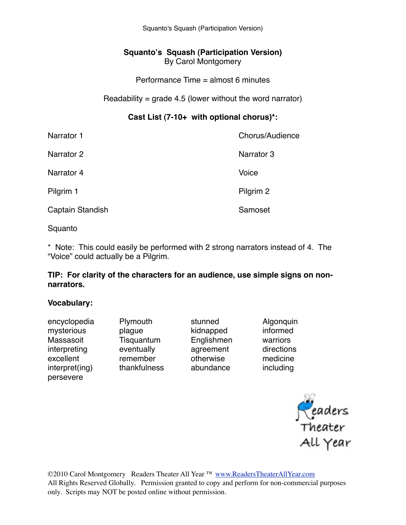Squanto's Squash (Participation Version)

## **Squanto's Squash (Participation Version)** By Carol Montgomery

Performance Time = almost 6 minutes

## Readability =  $q$ rade 4.5 (lower without the word narrator)

## **Cast List (7-10+ with optional chorus)\*:**

| Narrator 1       | Chorus/Audience |
|------------------|-----------------|
| Narrator 2       | Narrator 3      |
| Narrator 4       | Voice           |
| Pilgrim 1        | Pilgrim 2       |
| Captain Standish | Samoset         |
|                  |                 |

Squanto

\* Note: This could easily be performed with 2 strong narrators instead of 4. The "Voice" could actually be a Pilgrim.

### **TIP: For clarity of the characters for an audience, use simple signs on nonnarrators.**

#### **Vocabulary:**

| encyclopedia   |
|----------------|
| mysterious     |
| Massasoit      |
| interpreting   |
| excellent      |
| interpret(ing) |
| persevere      |
|                |

Plymouth stunned Algonquin mysterious ! ! plague! ! kidnapped! ! informed Tisquantum Englishmen warriors eventually **agreement** directions remember betwise medicine

thankfulness abundance including

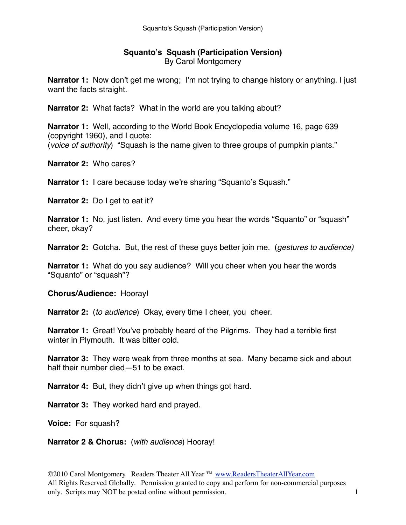#### **Squanto's Squash (Participation Version)** By Carol Montgomery

**Narrator 1:** Now don't get me wrong; I'm not trying to change history or anything. I just want the facts straight.

**Narrator 2:** What facts? What in the world are you talking about?

**Narrator 1:** Well, according to the World Book Encyclopedia volume 16, page 639 (copyright 1960), and I quote: (*voice of authority*) "Squash is the name given to three groups of pumpkin plants."

**Narrator 2:** Who cares?

**Narrator 1:** I care because today we're sharing "Squanto's Squash."

**Narrator 2:** Do I get to eat it?

**Narrator 1:** No, just listen. And every time you hear the words "Squanto" or "squash" cheer, okay?

**Narrator 2:** Gotcha. But, the rest of these guys better join me. (*gestures to audience)*

**Narrator 1:** What do you say audience? Will you cheer when you hear the words "Squanto" or "squash"?

**Chorus/Audience:** Hooray!

**Narrator 2:** (*to audience*) Okay, every time I cheer, you cheer.

**Narrator 1:** Great! You've probably heard of the Pilgrims. They had a terrible first winter in Plymouth. It was bitter cold.

**Narrator 3:** They were weak from three months at sea. Many became sick and about half their number died—51 to be exact.

**Narrator 4:** But, they didn't give up when things got hard.

**Narrator 3:** They worked hard and prayed.

**Voice:** For squash?

**Narrator 2 & Chorus:** (*with audience*) Hooray!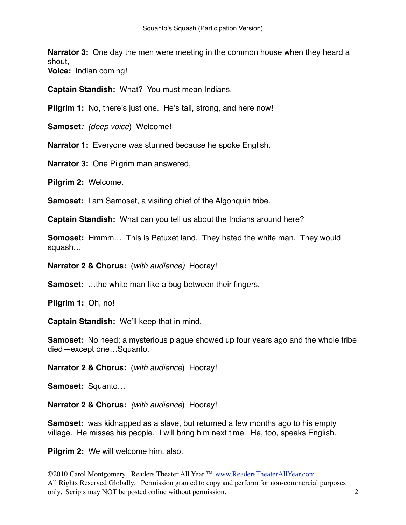**Narrator 3:** One day the men were meeting in the common house when they heard a shout,

**Voice:** Indian coming!

**Captain Standish:** What? You must mean Indians.

**Pilgrim 1:** No, there's just one. He's tall, strong, and here now!

**Samoset***: (deep voice*) Welcome!

**Narrator 1:** Everyone was stunned because he spoke English.

**Narrator 3:** One Pilgrim man answered,

**Pilgrim 2:** Welcome.

**Samoset:** I am Samoset, a visiting chief of the Algonquin tribe.

**Captain Standish:** What can you tell us about the Indians around here?

**Somoset:** Hmmm… This is Patuxet land. They hated the white man. They would squash…

**Narrator 2 & Chorus:** (*with audience)* Hooray!

**Samoset:** …the white man like a bug between their fingers.

**Pilgrim 1:** Oh, no!

**Captain Standish:** We'll keep that in mind.

**Samoset:** No need; a mysterious plague showed up four years ago and the whole tribe died—except one…Squanto.

**Narrator 2 & Chorus:** (*with audience*) Hooray!

**Samoset:** Squanto…

**Narrator 2 & Chorus:** *(with audience*) Hooray!

**Samoset:** was kidnapped as a slave, but returned a few months ago to his empty village. He misses his people. I will bring him next time. He, too, speaks English.

**Pilgrim 2:** We will welcome him, also.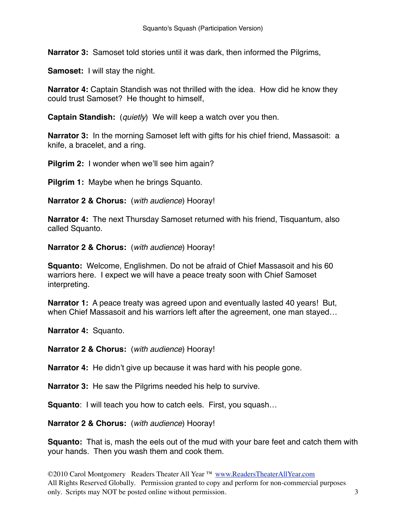**Narrator 3:** Samoset told stories until it was dark, then informed the Pilgrims,

**Samoset:** I will stay the night.

**Narrator 4:** Captain Standish was not thrilled with the idea. How did he know they could trust Samoset? He thought to himself,

**Captain Standish:** (*quietly*) We will keep a watch over you then.

**Narrator 3:** In the morning Samoset left with gifts for his chief friend, Massasoit: a knife, a bracelet, and a ring.

**Pilgrim 2:** I wonder when we'll see him again?

**Pilgrim 1:** Maybe when he brings Squanto.

**Narrator 2 & Chorus:** (*with audience*) Hooray!

**Narrator 4:** The next Thursday Samoset returned with his friend, Tisquantum, also called Squanto.

**Narrator 2 & Chorus:** (*with audience*) Hooray!

**Squanto:** Welcome, Englishmen. Do not be afraid of Chief Massasoit and his 60 warriors here. I expect we will have a peace treaty soon with Chief Samoset interpreting.

**Narrator 1:** A peace treaty was agreed upon and eventually lasted 40 years! But, when Chief Massasoit and his warriors left after the agreement, one man stayed…

**Narrator 4:** Squanto.

**Narrator 2 & Chorus:** (*with audience*) Hooray!

**Narrator 4:** He didn't give up because it was hard with his people gone.

**Narrator 3:** He saw the Pilgrims needed his help to survive.

**Squanto:** I will teach you how to catch eels. First, you squash...

**Narrator 2 & Chorus:** (*with audience*) Hooray!

**Squanto:** That is, mash the eels out of the mud with your bare feet and catch them with your hands. Then you wash them and cook them.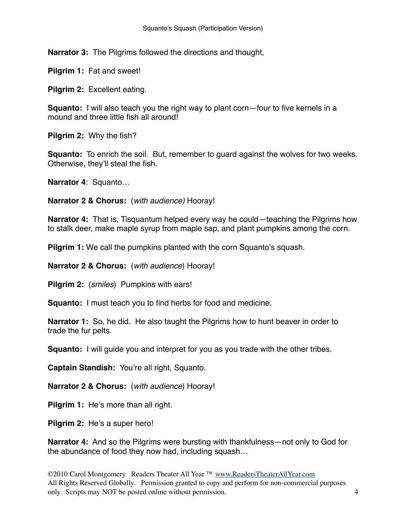**Narrator 3:** The Pilgrims followed the directions and thought,

**Pilgrim 1:** Fat and sweet!

**Pilgrim 2:** Excellent eating.

**Squanto:** I will also teach you the right way to plant corn—four to five kernels in a mound and three little fish all around!

**Pilgrim 2:** Why the fish?

**Squanto:** To enrich the soil. But, remember to guard against the wolves for two weeks. Otherwise, they'll steal the fish.

**Narrator 4**: Squanto…

**Narrator 2 & Chorus:** (*with audience)* Hooray!

**Narrator 4:** That is, Tisquantum helped every way he could—teaching the Pilgrims how to stalk deer, make maple syrup from maple sap, and plant pumpkins among the corn.

**Pilgrim 1:** We call the pumpkins planted with the corn Squanto's squash.

**Narrator 2 & Chorus:** (*with audience*) Hooray!

**Pilgrim 2:** (*smiles*) Pumpkins with ears!

**Squanto:** I must teach you to find herbs for food and medicine.

**Narrator 1:** So, he did. He also taught the Pilgrims how to hunt beaver in order to trade the fur pelts.

**Squanto:** I will guide you and interpret for you as you trade with the other tribes.

**Captain Standish:** You're all right, Squanto.

**Narrator 2 & Chorus:** (*with audience*) Hooray!

**Pilgrim 1:** He's more than all right.

**Pilgrim 2:** He's a super hero!

**Narrator 4:** And so the Pilgrims were bursting with thankfulness—not only to God for the abundance of food they now had, including squash…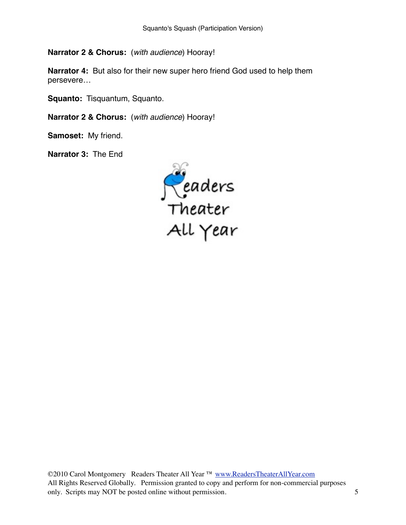**Narrator 2 & Chorus:** (*with audience*) Hooray!

**Narrator 4:** But also for their new super hero friend God used to help them persevere…

**Squanto:** Tisquantum, Squanto.

**Narrator 2 & Chorus:** (*with audience*) Hooray!

**Samoset:** My friend.

**Narrator 3:** The End

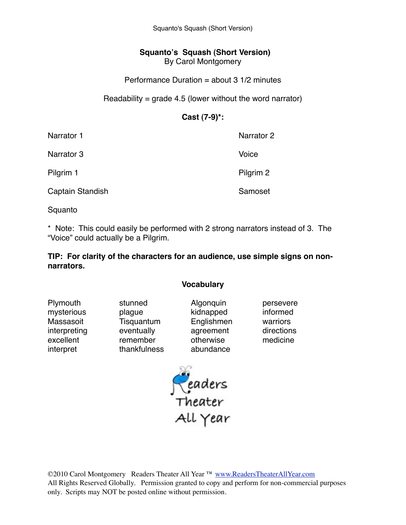Squanto's Squash (Short Version)

## **Squanto's Squash (Short Version)** By Carol Montgomery

### Performance Duration = about 3 1/2 minutes

#### Readability =  $q$ rade 4.5 (lower without the word narrator)

## **Cast (7-9)\*:**

| Narrator 1       | Narrator 2 |
|------------------|------------|
| Narrator 3       | Voice      |
| Pilgrim 1        | Pilgrim 2  |
| Captain Standish | Samoset    |

Squanto

\* Note: This could easily be performed with 2 strong narrators instead of 3. The "Voice" could actually be a Pilgrim.

#### **TIP: For clarity of the characters for an audience, use simple signs on nonnarrators.**

#### **Vocabulary**

| Plymouth     | stunned      | Algonquin  | persevere  |
|--------------|--------------|------------|------------|
| mysterious   | plague       | kidnapped  | informed   |
| Massasoit    | Tisquantum   | Englishmen | warriors   |
| interpreting | eventually   | agreement  | directions |
| excellent    | remember     | otherwise  | medicine   |
| interpret    | thankfulness | abundance  |            |

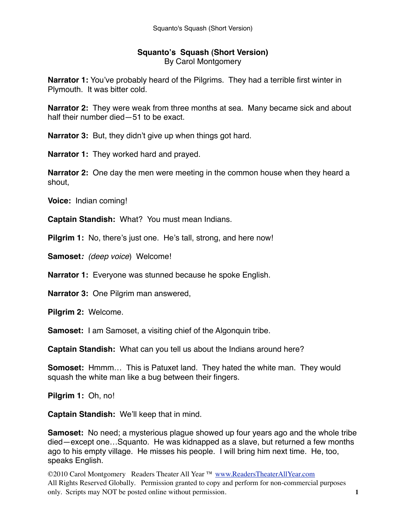### **Squanto's Squash (Short Version)** By Carol Montgomery

**Narrator 1:** You've probably heard of the Pilgrims. They had a terrible first winter in Plymouth. It was bitter cold.

**Narrator 2:** They were weak from three months at sea. Many became sick and about half their number died—51 to be exact.

**Narrator 3:** But, they didn't give up when things got hard.

**Narrator 1:** They worked hard and prayed.

**Narrator 2:** One day the men were meeting in the common house when they heard a shout,

**Voice:** Indian coming!

**Captain Standish:** What? You must mean Indians.

**Pilgrim 1:** No, there's just one. He's tall, strong, and here now!

**Samoset***: (deep voice*) Welcome!

**Narrator 1:** Everyone was stunned because he spoke English.

**Narrator 3:** One Pilgrim man answered,

**Pilgrim 2:** Welcome.

**Samoset:** I am Samoset, a visiting chief of the Algonquin tribe.

**Captain Standish:** What can you tell us about the Indians around here?

**Somoset:** Hmmm… This is Patuxet land. They hated the white man. They would squash the white man like a bug between their fingers.

**Pilgrim 1:** Oh, no!

**Captain Standish:** We'll keep that in mind.

**Samoset:** No need; a mysterious plague showed up four years ago and the whole tribe died—except one…Squanto. He was kidnapped as a slave, but returned a few months ago to his empty village. He misses his people. I will bring him next time. He, too, speaks English.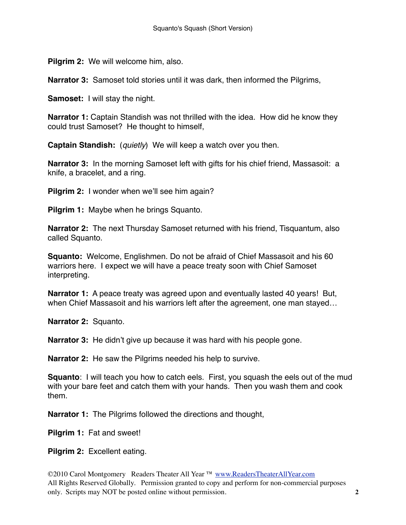**Pilgrim 2:** We will welcome him, also.

**Narrator 3:** Samoset told stories until it was dark, then informed the Pilgrims,

**Samoset:** I will stay the night.

**Narrator 1:** Captain Standish was not thrilled with the idea. How did he know they could trust Samoset? He thought to himself,

**Captain Standish:** (*quietly*) We will keep a watch over you then.

**Narrator 3:** In the morning Samoset left with gifts for his chief friend, Massasoit: a knife, a bracelet, and a ring.

**Pilgrim 2:** I wonder when we'll see him again?

**Pilgrim 1:** Maybe when he brings Squanto.

**Narrator 2:** The next Thursday Samoset returned with his friend, Tisquantum, also called Squanto.

**Squanto:** Welcome, Englishmen. Do not be afraid of Chief Massasoit and his 60 warriors here. I expect we will have a peace treaty soon with Chief Samoset interpreting.

**Narrator 1:** A peace treaty was agreed upon and eventually lasted 40 years! But, when Chief Massasoit and his warriors left after the agreement, one man stayed…

**Narrator 2:** Squanto.

**Narrator 3:** He didn't give up because it was hard with his people gone.

**Narrator 2:** He saw the Pilgrims needed his help to survive.

**Squanto**: I will teach you how to catch eels. First, you squash the eels out of the mud with your bare feet and catch them with your hands. Then you wash them and cook them.

**Narrator 1:** The Pilgrims followed the directions and thought,

**Pilgrim 1:** Fat and sweet!

**Pilgrim 2:** Excellent eating.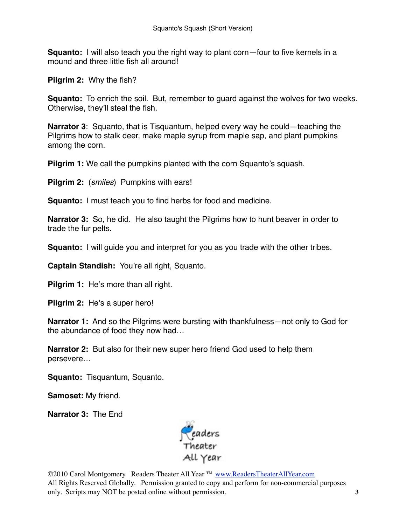**Squanto:** I will also teach you the right way to plant corn—four to five kernels in a mound and three little fish all around!

**Pilgrim 2:** Why the fish?

**Squanto:** To enrich the soil. But, remember to quard against the wolves for two weeks. Otherwise, they'll steal the fish.

**Narrator 3**: Squanto, that is Tisquantum, helped every way he could—teaching the Pilgrims how to stalk deer, make maple syrup from maple sap, and plant pumpkins among the corn.

**Pilgrim 1:** We call the pumpkins planted with the corn Squanto's squash.

**Pilgrim 2:** (*smiles*) Pumpkins with ears!

**Squanto:** I must teach you to find herbs for food and medicine.

**Narrator 3:** So, he did. He also taught the Pilgrims how to hunt beaver in order to trade the fur pelts.

**Squanto:** I will guide you and interpret for you as you trade with the other tribes.

**Captain Standish:** You're all right, Squanto.

**Pilgrim 1:** He's more than all right.

**Pilgrim 2:** He's a super hero!

**Narrator 1:** And so the Pilgrims were bursting with thankfulness—not only to God for the abundance of food they now had…

**Narrator 2:** But also for their new super hero friend God used to help them persevere…

**Squanto:** Tisquantum, Squanto.

**Samoset:** My friend.

**Narrator 3:** The End